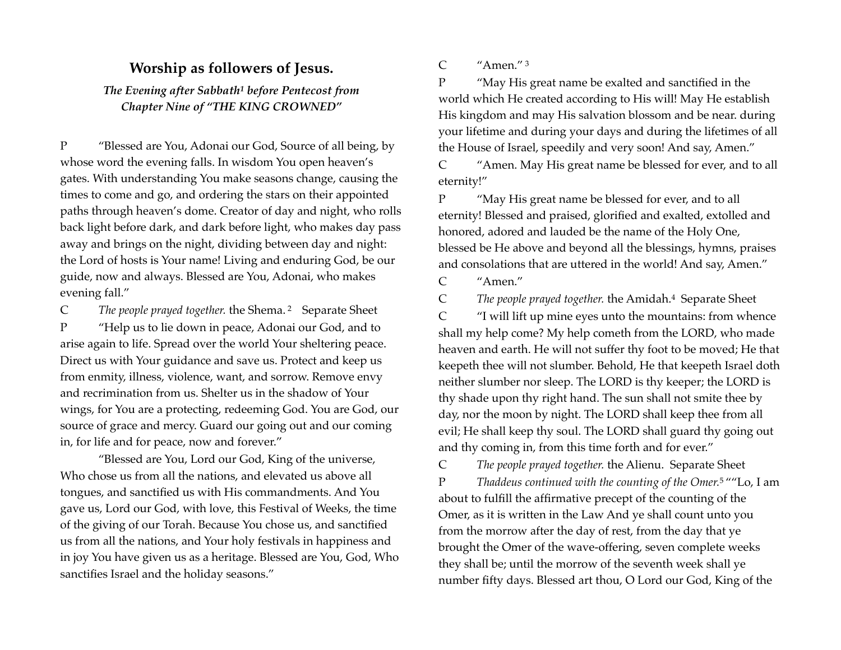## <span id="page-0-0"></span>**Worship as followers of Jesus.**

*The Evening after Sabbath<sup>[1](#page-1-0)</sup> before Pentecost from Chapter Nine of "THE KING CROWNED"* 

P "Blessed are You, Adonai our God, Source of all being, by whose word the evening falls. In wisdom You open heaven's gates. With understanding You make seasons change, causing the times to come and go, and ordering the stars on their appointed paths through heaven's dome. Creator of day and night, who rolls back light before dark, and dark before light, who makes day pass away and brings on the night, dividing between day and night: the Lord of hosts is Your name! Living and enduring God, be our guide, now and always. Blessed are You, Adonai, who makes evening fall."

C The people prayed together. the Shema. <sup>[2](#page-1-1)</sup> Separate Sheet P "Help us to lie down in peace, Adonai our God, and to arise again to life. Spread over the world Your sheltering peace. Direct us with Your guidance and save us. Protect and keep us from enmity, illness, violence, want, and sorrow. Remove envy and recrimination from us. Shelter us in the shadow of Your wings, for You are a protecting, redeeming God. You are God, our source of grace and mercy. Guard our going out and our coming in, for life and for peace, now and forever."

"Blessed are You, Lord our God, King of the universe, Who chose us from all the nations, and elevated us above all tongues, and sanctified us with His commandments. And You gave us, Lord our God, with love, this Festival of Weeks, the time of the giving of our Torah. Because You chose us, and sanctified us from all the nations, and Your holy festivals in happiness and in joy You have given us as a heritage. Blessed are You, God, Who sanctifies Israel and the holiday seasons."

<span id="page-0-2"></span>C "Amen." [3](#page-1-2)

P "May His great name be exalted and sanctified in the world which He created according to His will! May He establish His kingdom and may His salvation blossom and be near. during your lifetime and during your days and during the lifetimes of all the House of Israel, speedily and very soon! And say, Amen."

C "Amen. May His great name be blessed for ever, and to all eternity!"

P "May His great name be blessed for ever, and to all eternity! Blessed and praised, glorified and exalted, extolled and honored, adored and lauded be the name of the Holy One, blessed be He above and beyond all the blessings, hymns, praises and consolations that are uttered in the world! And say, Amen."

<span id="page-0-3"></span>C "Amen."

C The people prayed together[.](#page-1-3) the Amidah.<sup>[4](#page-1-3)</sup> Separate Sheet

<span id="page-0-1"></span>C "I will lift up mine eyes unto the mountains: from whence shall my help come? My help cometh from the LORD, who made heaven and earth. He will not suffer thy foot to be moved; He that keepeth thee will not slumber. Behold, He that keepeth Israel doth neither slumber nor sleep. The LORD is thy keeper; the LORD is thy shade upon thy right hand. The sun shall not smite thee by day, nor the moon by night. The LORD shall keep thee from all evil; He shall keep thy soul. The LORD shall guard thy going out and thy coming in, from this time forth and for ever."

<span id="page-0-4"></span>C *The people prayed together.* the Alienu. Separate Sheet P Thaddeus continued with the counting of the Omer.<sup>[5](#page-1-4)</sup> ""Lo, I am about to fulfill the affirmative precept of the counting of the Omer, as it is written in the Law And ye shall count unto you from the morrow after the day of rest, from the day that ye brought the Omer of the wave-offering, seven complete weeks they shall be; until the morrow of the seventh week shall ye number fifty days. Blessed art thou, O Lord our God, King of the